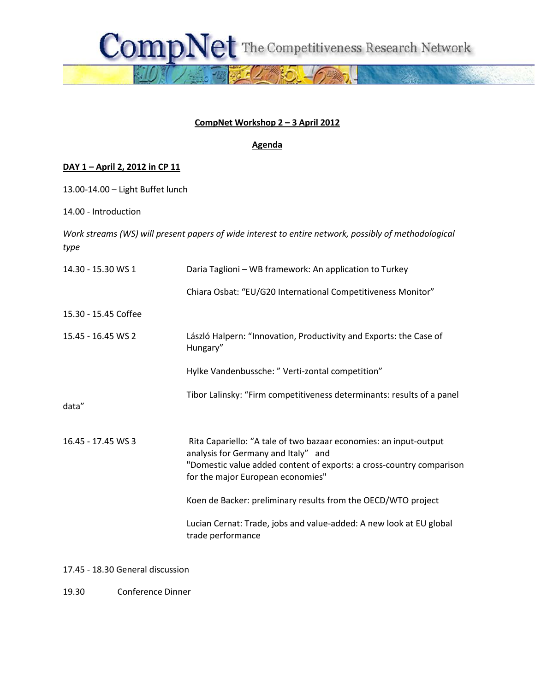

## **CompNet Workshop 2 – 3 April 2012**

## **Agenda**

## **DAY 1 – April 2, 2012 in CP 11**

13.00-14.00 – Light Buffet lunch

14.00 - Introduction

*Work streams (WS) will present papers of wide interest to entire network, possibly of methodological type*

| 14.30 - 15.30 WS 1   | Daria Taglioni - WB framework: An application to Turkey                                                                                                                                                               |
|----------------------|-----------------------------------------------------------------------------------------------------------------------------------------------------------------------------------------------------------------------|
|                      | Chiara Osbat: "EU/G20 International Competitiveness Monitor"                                                                                                                                                          |
| 15.30 - 15.45 Coffee |                                                                                                                                                                                                                       |
| 15.45 - 16.45 WS 2   | László Halpern: "Innovation, Productivity and Exports: the Case of<br>Hungary"                                                                                                                                        |
|                      | Hylke Vandenbussche: " Verti-zontal competition"                                                                                                                                                                      |
| data"                | Tibor Lalinsky: "Firm competitiveness determinants: results of a panel                                                                                                                                                |
| 16.45 - 17.45 WS 3   | Rita Capariello: "A tale of two bazaar economies: an input-output<br>analysis for Germany and Italy" and<br>"Domestic value added content of exports: a cross-country comparison<br>for the major European economies" |
|                      | Koen de Backer: preliminary results from the OECD/WTO project                                                                                                                                                         |
|                      | Lucian Cernat: Trade, jobs and value-added: A new look at EU global<br>trade performance                                                                                                                              |
|                      |                                                                                                                                                                                                                       |

17.45 - 18.30 General discussion

19.30 Conference Dinner